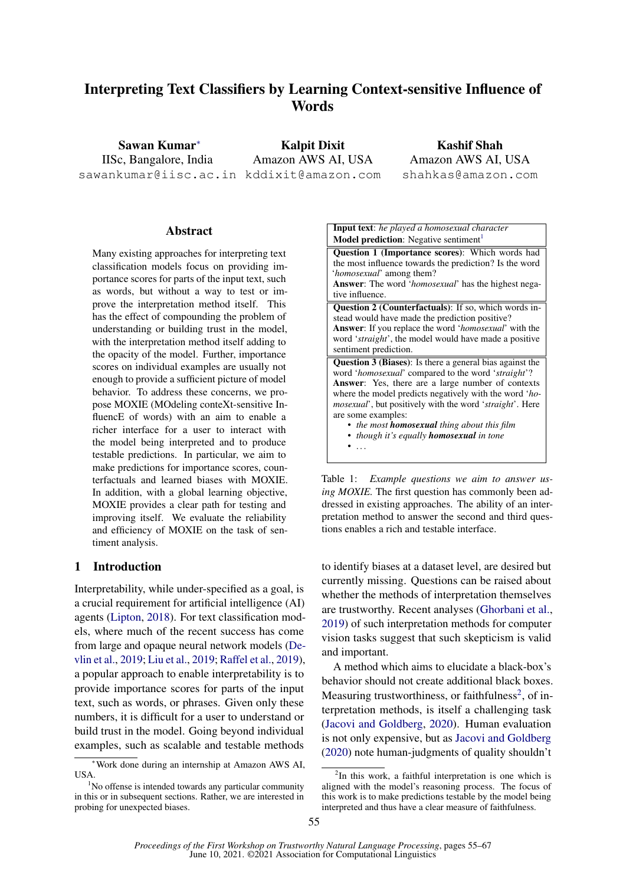# Interpreting Text Classifiers by Learning Context-sensitive Influence of Words

Sawan Kumar<sup>∗</sup> IISc, Bangalore, India sawankumar@iisc.ac.in kddixit@amazon.com

Kalpit Dixit Amazon AWS AI, USA

Kashif Shah Amazon AWS AI, USA shahkas@amazon.com

## Abstract

Many existing approaches for interpreting text classification models focus on providing importance scores for parts of the input text, such as words, but without a way to test or improve the interpretation method itself. This has the effect of compounding the problem of understanding or building trust in the model, with the interpretation method itself adding to the opacity of the model. Further, importance scores on individual examples are usually not enough to provide a sufficient picture of model behavior. To address these concerns, we propose MOXIE (MOdeling conteXt-sensitive InfluencE of words) with an aim to enable a richer interface for a user to interact with the model being interpreted and to produce testable predictions. In particular, we aim to make predictions for importance scores, counterfactuals and learned biases with MOXIE. In addition, with a global learning objective, MOXIE provides a clear path for testing and improving itself. We evaluate the reliability and efficiency of MOXIE on the task of sentiment analysis.

#### 1 Introduction

Interpretability, while under-specified as a goal, is a crucial requirement for artificial intelligence (AI) agents [\(Lipton,](#page-9-0) [2018\)](#page-9-0). For text classification models, where much of the recent success has come from large and opaque neural network models [\(De](#page-8-0)[vlin et al.,](#page-8-0) [2019;](#page-8-0) [Liu et al.,](#page-9-1) [2019;](#page-9-1) [Raffel et al.,](#page-9-2) [2019\)](#page-9-2), a popular approach to enable interpretability is to provide importance scores for parts of the input text, such as words, or phrases. Given only these numbers, it is difficult for a user to understand or build trust in the model. Going beyond individual examples, such as scalable and testable methods

<span id="page-0-2"></span>

Table 1: *Example questions we aim to answer using MOXIE.* The first question has commonly been addressed in existing approaches. The ability of an interpretation method to answer the second and third questions enables a rich and testable interface.

to identify biases at a dataset level, are desired but currently missing. Questions can be raised about whether the methods of interpretation themselves are trustworthy. Recent analyses [\(Ghorbani et al.,](#page-8-1) [2019\)](#page-8-1) of such interpretation methods for computer vision tasks suggest that such skepticism is valid and important.

A method which aims to elucidate a black-box's behavior should not create additional black boxes. Measuring trustworthiness, or faithfulness<sup>[2](#page-0-1)</sup>, of interpretation methods, is itself a challenging task [\(Jacovi and Goldberg,](#page-9-3) [2020\)](#page-9-3). Human evaluation is not only expensive, but as [Jacovi and Goldberg](#page-9-3) [\(2020\)](#page-9-3) note human-judgments of quality shouldn't

<sup>∗</sup>Work done during an internship at Amazon AWS AI, USA.

<span id="page-0-0"></span> $1$ No offense is intended towards any particular community in this or in subsequent sections. Rather, we are interested in probing for unexpected biases.

<span id="page-0-1"></span><sup>&</sup>lt;sup>2</sup>In this work, a faithful interpretation is one which is aligned with the model's reasoning process. The focus of this work is to make predictions testable by the model being interpreted and thus have a clear measure of faithfulness.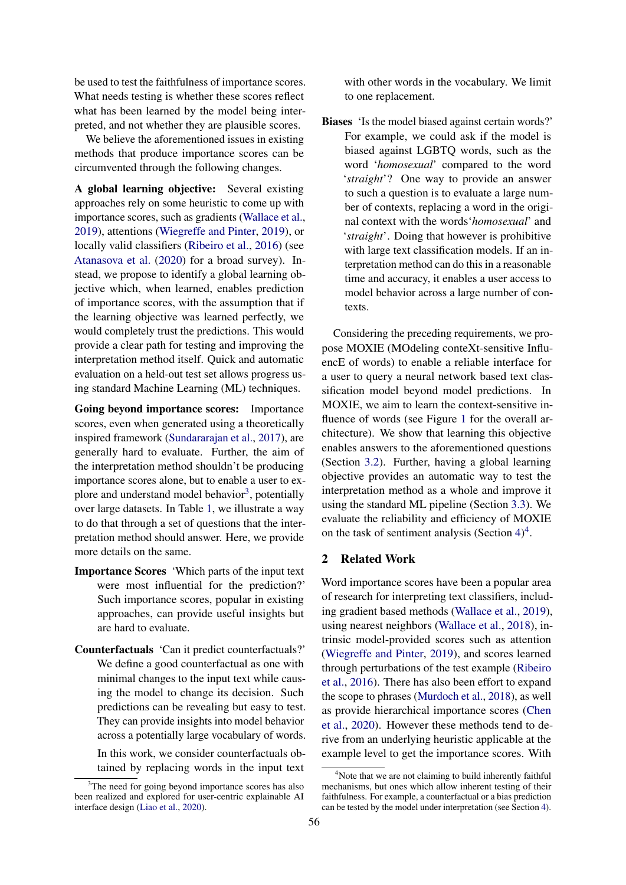be used to test the faithfulness of importance scores. What needs testing is whether these scores reflect what has been learned by the model being interpreted, and not whether they are plausible scores.

We believe the aforementioned issues in existing methods that produce importance scores can be circumvented through the following changes.

A global learning objective: Several existing approaches rely on some heuristic to come up with importance scores, such as gradients [\(Wallace et al.,](#page-9-4) [2019\)](#page-9-4), attentions [\(Wiegreffe and Pinter,](#page-9-5) [2019\)](#page-9-5), or locally valid classifiers [\(Ribeiro et al.,](#page-9-6) [2016\)](#page-9-6) (see [Atanasova et al.](#page-8-2) [\(2020\)](#page-8-2) for a broad survey). Instead, we propose to identify a global learning objective which, when learned, enables prediction of importance scores, with the assumption that if the learning objective was learned perfectly, we would completely trust the predictions. This would provide a clear path for testing and improving the interpretation method itself. Quick and automatic evaluation on a held-out test set allows progress using standard Machine Learning (ML) techniques.

Going beyond importance scores: Importance scores, even when generated using a theoretically inspired framework [\(Sundararajan et al.,](#page-9-7) [2017\)](#page-9-7), are generally hard to evaluate. Further, the aim of the interpretation method shouldn't be producing importance scores alone, but to enable a user to ex-plore and understand model behavior<sup>[3](#page-1-0)</sup>, potentially over large datasets. In Table [1,](#page-0-2) we illustrate a way to do that through a set of questions that the interpretation method should answer. Here, we provide more details on the same.

- Importance Scores 'Which parts of the input text were most influential for the prediction?' Such importance scores, popular in existing approaches, can provide useful insights but are hard to evaluate.
- Counterfactuals 'Can it predict counterfactuals?' We define a good counterfactual as one with minimal changes to the input text while causing the model to change its decision. Such predictions can be revealing but easy to test. They can provide insights into model behavior across a potentially large vocabulary of words.

In this work, we consider counterfactuals obtained by replacing words in the input text with other words in the vocabulary. We limit to one replacement.

Biases 'Is the model biased against certain words?' For example, we could ask if the model is biased against LGBTQ words, such as the word '*homosexual*' compared to the word '*straight*'? One way to provide an answer to such a question is to evaluate a large number of contexts, replacing a word in the original context with the words'*homosexual*' and '*straight*'. Doing that however is prohibitive with large text classification models. If an interpretation method can do this in a reasonable time and accuracy, it enables a user access to model behavior across a large number of contexts.

Considering the preceding requirements, we propose MOXIE (MOdeling conteXt-sensitive InfluencE of words) to enable a reliable interface for a user to query a neural network based text classification model beyond model predictions. In MOXIE, we aim to learn the context-sensitive influence of words (see Figure [1](#page-2-0) for the overall architecture). We show that learning this objective enables answers to the aforementioned questions (Section [3.2\)](#page-3-0). Further, having a global learning objective provides an automatic way to test the interpretation method as a whole and improve it using the standard ML pipeline (Section [3.3\)](#page-4-0). We evaluate the reliability and efficiency of MOXIE on the task of sentiment analysis (Section  $4)^4$  $4)^4$  $4)^4$ .

### 2 Related Work

Word importance scores have been a popular area of research for interpreting text classifiers, including gradient based methods [\(Wallace et al.,](#page-9-4) [2019\)](#page-9-4), using nearest neighbors [\(Wallace et al.,](#page-9-9) [2018\)](#page-9-9), intrinsic model-provided scores such as attention [\(Wiegreffe and Pinter,](#page-9-5) [2019\)](#page-9-5), and scores learned through perturbations of the test example [\(Ribeiro](#page-9-6) [et al.,](#page-9-6) [2016\)](#page-9-6). There has also been effort to expand the scope to phrases [\(Murdoch et al.,](#page-9-10) [2018\)](#page-9-10), as well as provide hierarchical importance scores [\(Chen](#page-8-3) [et al.,](#page-8-3) [2020\)](#page-8-3). However these methods tend to derive from an underlying heuristic applicable at the example level to get the importance scores. With

<span id="page-1-0"></span> $3$ The need for going beyond importance scores has also been realized and explored for user-centric explainable AI interface design [\(Liao et al.,](#page-9-8) [2020\)](#page-9-8).

<span id="page-1-1"></span><sup>&</sup>lt;sup>4</sup>Note that we are not claiming to build inherently faithful mechanisms, but ones which allow inherent testing of their faithfulness. For example, a counterfactual or a bias prediction can be tested by the model under interpretation (see Section [4\)](#page-4-1).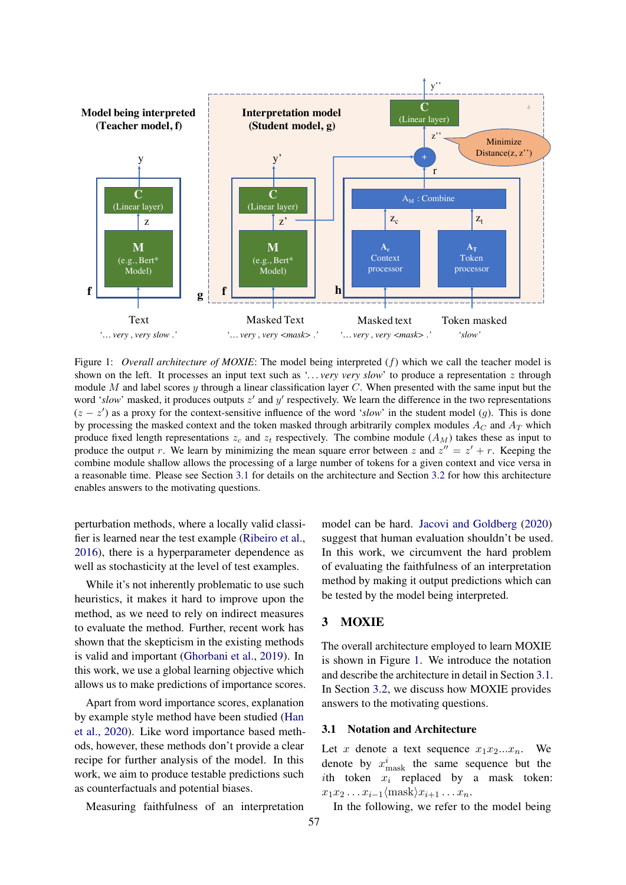<span id="page-2-0"></span>

Figure 1: *Overall architecture of MOXIE*: The model being interpreted (f) which we call the teacher model is shown on the left. It processes an input text such as '*. . . very very slow*' to produce a representation z through module M and label scores y through a linear classification layer C. When presented with the same input but the word 'slow' masked, it produces outputs  $z'$  and  $y'$  respectively. We learn the difference in the two representations  $(z - z')$  as a proxy for the context-sensitive influence of the word '*slow*' in the student model (g). This is done by processing the masked context and the token masked through arbitrarily complex modules  $A_C$  and  $A_T$  which produce fixed length representations  $z_c$  and  $z_t$  respectively. The combine module  $(A_M)$  takes these as input to produce the output r. We learn by minimizing the mean square error between z and  $z'' = z' + r$ . Keeping the combine module shallow allows the processing of a large number of tokens for a given context and vice versa in a reasonable time. Please see Section [3.1](#page-2-1) for details on the architecture and Section [3.2](#page-3-0) for how this architecture enables answers to the motivating questions.

perturbation methods, where a locally valid classifier is learned near the test example [\(Ribeiro et al.,](#page-9-6) [2016\)](#page-9-6), there is a hyperparameter dependence as well as stochasticity at the level of test examples.

While it's not inherently problematic to use such heuristics, it makes it hard to improve upon the method, as we need to rely on indirect measures to evaluate the method. Further, recent work has shown that the skepticism in the existing methods is valid and important [\(Ghorbani et al.,](#page-8-1) [2019\)](#page-8-1). In this work, we use a global learning objective which allows us to make predictions of importance scores.

Apart from word importance scores, explanation by example style method have been studied [\(Han](#page-8-4) [et al.,](#page-8-4) [2020\)](#page-8-4). Like word importance based methods, however, these methods don't provide a clear recipe for further analysis of the model. In this work, we aim to produce testable predictions such as counterfactuals and potential biases.

Measuring faithfulness of an interpretation

model can be hard. [Jacovi and Goldberg](#page-9-3) [\(2020\)](#page-9-3) suggest that human evaluation shouldn't be used. In this work, we circumvent the hard problem of evaluating the faithfulness of an interpretation method by making it output predictions which can be tested by the model being interpreted.

### 3 MOXIE

The overall architecture employed to learn MOXIE is shown in Figure [1.](#page-2-0) We introduce the notation and describe the architecture in detail in Section [3.1.](#page-2-1) In Section [3.2,](#page-3-0) we discuss how MOXIE provides answers to the motivating questions.

#### <span id="page-2-1"></span>3.1 Notation and Architecture

Let x denote a text sequence  $x_1x_2...x_n$ . We denote by  $x_{\text{mask}}^i$  the same sequence but the ith token  $x_i$  replaced by a mask token:  $x_1x_2 \ldots x_{i-1}$  {mask} $x_{i+1} \ldots x_n$ .

In the following, we refer to the model being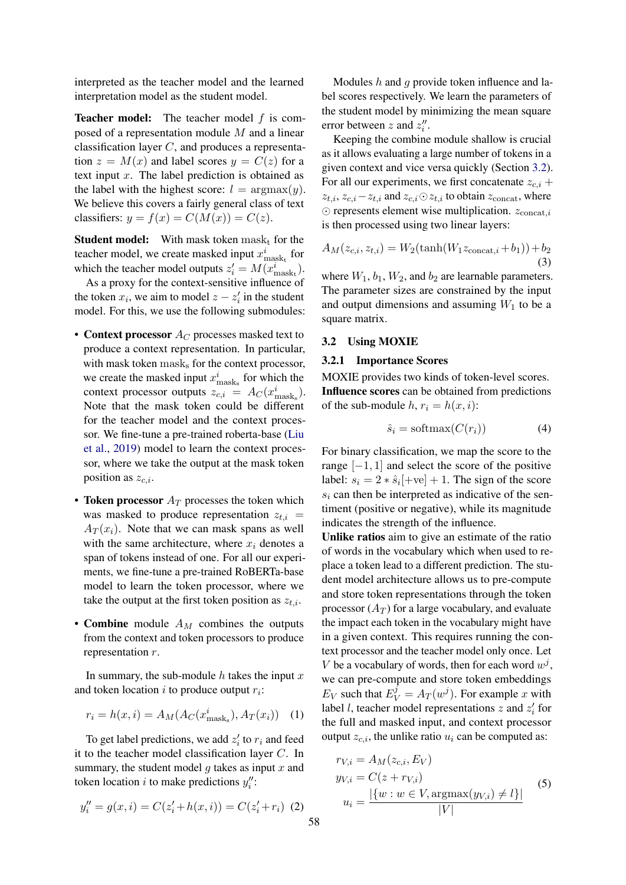interpreted as the teacher model and the learned interpretation model as the student model.

**Teacher model:** The teacher model  $f$  is composed of a representation module M and a linear classification layer C, and produces a representation  $z = M(x)$  and label scores  $y = C(z)$  for a text input  $x$ . The label prediction is obtained as the label with the highest score:  $l = \argmax(y)$ . We believe this covers a fairly general class of text classifiers:  $y = f(x) = C(M(x)) = C(z)$ .

**Student model:** With mask token  $\text{mask}_{t}$  for the teacher model, we create masked input  $x_{\text{mask}_{\text{t}}}^i$  for which the teacher model outputs  $z_i' = M(x_{\text{mask}_t}^i)$ .

As a proxy for the context-sensitive influence of the token  $x_i$ , we aim to model  $z - z'_i$  in the student model. For this, we use the following submodules:

- Context processor  $A_C$  processes masked text to produce a context representation. In particular, with mask token  $\text{mask}_s$  for the context processor, we create the masked input  $x_{\text{mask}_s}^i$  for which the context processor outputs  $z_{c,i} = A_C(x_{\text{mask}_s}^i)$ . Note that the mask token could be different for the teacher model and the context processor. We fine-tune a pre-trained roberta-base [\(Liu](#page-9-1) [et al.,](#page-9-1) [2019\)](#page-9-1) model to learn the context processor, where we take the output at the mask token position as  $z_{c,i}$ .
- Token processor  $A_T$  processes the token which was masked to produce representation  $z_{t,i}$  =  $A_T(x_i)$ . Note that we can mask spans as well with the same architecture, where  $x_i$  denotes a span of tokens instead of one. For all our experiments, we fine-tune a pre-trained RoBERTa-base model to learn the token processor, where we take the output at the first token position as  $z_{t,i}$ .
- Combine module  $A_M$  combines the outputs from the context and token processors to produce representation  $r$ .

In summary, the sub-module  $h$  takes the input  $x$ and token location  $i$  to produce output  $r_i$ :

$$
r_i = h(x, i) = A_M(A_C(x_{\text{mask}_s}^i), A_T(x_i)) \quad (1)
$$

To get label predictions, we add  $z_i'$  to  $r_i$  and feed it to the teacher model classification layer C. In summary, the student model  $q$  takes as input  $x$  and token location *i* to make predictions  $y''_i$ :

$$
y_i'' = g(x, i) = C(z_i' + h(x, i)) = C(z_i' + r_i) \tag{2}
$$

Modules h and q provide token influence and label scores respectively. We learn the parameters of the student model by minimizing the mean square error between z and  $z_i''$ .

Keeping the combine module shallow is crucial as it allows evaluating a large number of tokens in a given context and vice versa quickly (Section [3.2\)](#page-3-0). For all our experiments, we first concatenate  $z_{c,i}$  +  $z_{t,i}, z_{c,i} - z_{t,i}$  and  $z_{c,i} \odot z_{t,i}$  to obtain  $z_{\text{concat}}$ , where  $\odot$  represents element wise multiplication.  $z_{\text{concat},i}$ is then processed using two linear layers:

$$
A_M(z_{c,i}, z_{t,i}) = W_2(\tanh(W_1 z_{\text{concat},i} + b_1)) + b_2
$$
\n(3)

where  $W_1$ ,  $b_1$ ,  $W_2$ , and  $b_2$  are learnable parameters. The parameter sizes are constrained by the input and output dimensions and assuming  $W_1$  to be a square matrix.

#### <span id="page-3-0"></span>3.2 Using MOXIE

#### 3.2.1 Importance Scores

MOXIE provides two kinds of token-level scores. Influence scores can be obtained from predictions of the sub-module  $h, r_i = h(x, i)$ :

$$
\hat{s}_i = \text{softmax}(C(r_i))\tag{4}
$$

For binary classification, we map the score to the range  $[-1, 1]$  and select the score of the positive label:  $s_i = 2 * \hat{s}_i[+ve] + 1$ . The sign of the score  $s_i$  can then be interpreted as indicative of the sentiment (positive or negative), while its magnitude indicates the strength of the influence.

Unlike ratios aim to give an estimate of the ratio of words in the vocabulary which when used to replace a token lead to a different prediction. The student model architecture allows us to pre-compute and store token representations through the token processor  $(A_T)$  for a large vocabulary, and evaluate the impact each token in the vocabulary might have in a given context. This requires running the context processor and the teacher model only once. Let V be a vocabulary of words, then for each word  $w^j$ , we can pre-compute and store token embeddings  $E_V$  such that  $E_V^j = A_T(w^j)$ . For example x with label *l*, teacher model representations  $z$  and  $z_i'$  for the full and masked input, and context processor output  $z_{c,i}$ , the unlike ratio  $u_i$  can be computed as:

$$
rv_{i} = A_{M}(z_{c,i}, Ev)
$$
  
\n
$$
y_{V,i} = C(z + rv_{i})
$$
  
\n
$$
u_{i} = \frac{|\{w : w \in V, \text{argmax}(y_{V,i}) \neq l\}|}{|V|}
$$
\n(5)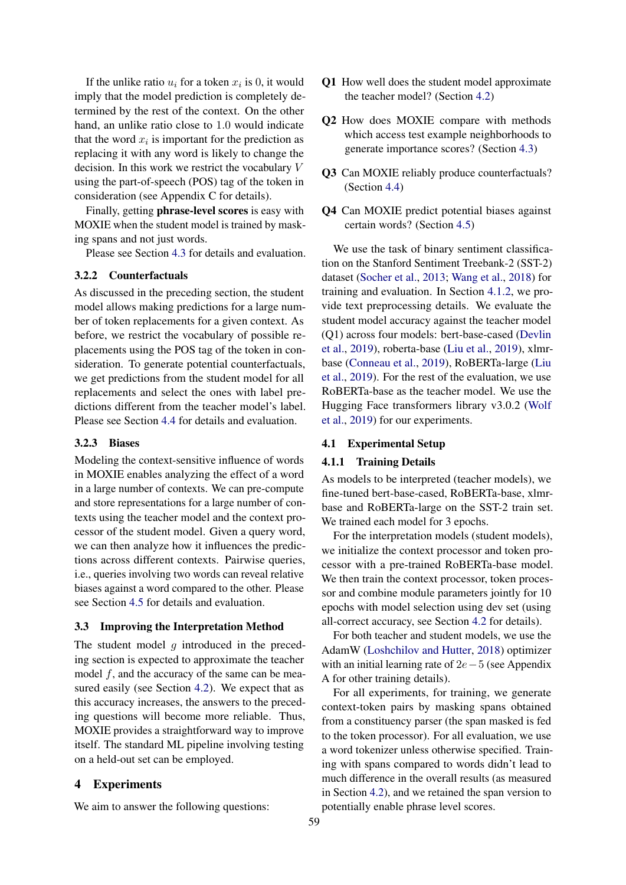If the unlike ratio  $u_i$  for a token  $x_i$  is 0, it would imply that the model prediction is completely determined by the rest of the context. On the other hand, an unlike ratio close to 1.0 would indicate that the word  $x_i$  is important for the prediction as replacing it with any word is likely to change the decision. In this work we restrict the vocabulary V using the part-of-speech (POS) tag of the token in consideration (see Appendix C for details).

Finally, getting phrase-level scores is easy with MOXIE when the student model is trained by masking spans and not just words.

Please see Section [4.3](#page-5-0) for details and evaluation.

#### <span id="page-4-2"></span>3.2.2 Counterfactuals

As discussed in the preceding section, the student model allows making predictions for a large number of token replacements for a given context. As before, we restrict the vocabulary of possible replacements using the POS tag of the token in consideration. To generate potential counterfactuals, we get predictions from the student model for all replacements and select the ones with label predictions different from the teacher model's label. Please see Section [4.4](#page-6-0) for details and evaluation.

### <span id="page-4-3"></span>3.2.3 Biases

Modeling the context-sensitive influence of words in MOXIE enables analyzing the effect of a word in a large number of contexts. We can pre-compute and store representations for a large number of contexts using the teacher model and the context processor of the student model. Given a query word, we can then analyze how it influences the predictions across different contexts. Pairwise queries, i.e., queries involving two words can reveal relative biases against a word compared to the other. Please see Section [4.5](#page-6-1) for details and evaluation.

#### <span id="page-4-0"></span>3.3 Improving the Interpretation Method

The student model  $g$  introduced in the preceding section is expected to approximate the teacher model  $f$ , and the accuracy of the same can be measured easily (see Section [4.2\)](#page-5-1). We expect that as this accuracy increases, the answers to the preceding questions will become more reliable. Thus, MOXIE provides a straightforward way to improve itself. The standard ML pipeline involving testing on a held-out set can be employed.

### <span id="page-4-1"></span>4 Experiments

We aim to answer the following questions:

- Q1 How well does the student model approximate the teacher model? (Section [4.2\)](#page-5-1)
- Q2 How does MOXIE compare with methods which access test example neighborhoods to generate importance scores? (Section [4.3\)](#page-5-0)
- Q3 Can MOXIE reliably produce counterfactuals? (Section [4.4\)](#page-6-0)
- Q4 Can MOXIE predict potential biases against certain words? (Section [4.5\)](#page-6-1)

We use the task of binary sentiment classification on the Stanford Sentiment Treebank-2 (SST-2) dataset [\(Socher et al.,](#page-9-11) [2013;](#page-9-11) [Wang et al.,](#page-9-12) [2018\)](#page-9-12) for training and evaluation. In Section [4.1.2,](#page-5-2) we provide text preprocessing details. We evaluate the student model accuracy against the teacher model (Q1) across four models: bert-base-cased [\(Devlin](#page-8-0) [et al.,](#page-8-0) [2019\)](#page-8-0), roberta-base [\(Liu et al.,](#page-9-1) [2019\)](#page-9-1), xlmrbase [\(Conneau et al.,](#page-8-5) [2019\)](#page-8-5), RoBERTa-large [\(Liu](#page-9-1) [et al.,](#page-9-1) [2019\)](#page-9-1). For the rest of the evaluation, we use RoBERTa-base as the teacher model. We use the Hugging Face transformers library v3.0.2 [\(Wolf](#page-9-13) [et al.,](#page-9-13) [2019\)](#page-9-13) for our experiments.

### 4.1 Experimental Setup

#### 4.1.1 Training Details

As models to be interpreted (teacher models), we fine-tuned bert-base-cased, RoBERTa-base, xlmrbase and RoBERTa-large on the SST-2 train set. We trained each model for 3 epochs.

For the interpretation models (student models), we initialize the context processor and token processor with a pre-trained RoBERTa-base model. We then train the context processor, token processor and combine module parameters jointly for 10 epochs with model selection using dev set (using all-correct accuracy, see Section [4.2](#page-5-1) for details).

For both teacher and student models, we use the AdamW [\(Loshchilov and Hutter,](#page-9-14) [2018\)](#page-9-14) optimizer with an initial learning rate of 2e−5 (see Appendix A for other training details).

For all experiments, for training, we generate context-token pairs by masking spans obtained from a constituency parser (the span masked is fed to the token processor). For all evaluation, we use a word tokenizer unless otherwise specified. Training with spans compared to words didn't lead to much difference in the overall results (as measured in Section [4.2\)](#page-5-1), and we retained the span version to potentially enable phrase level scores.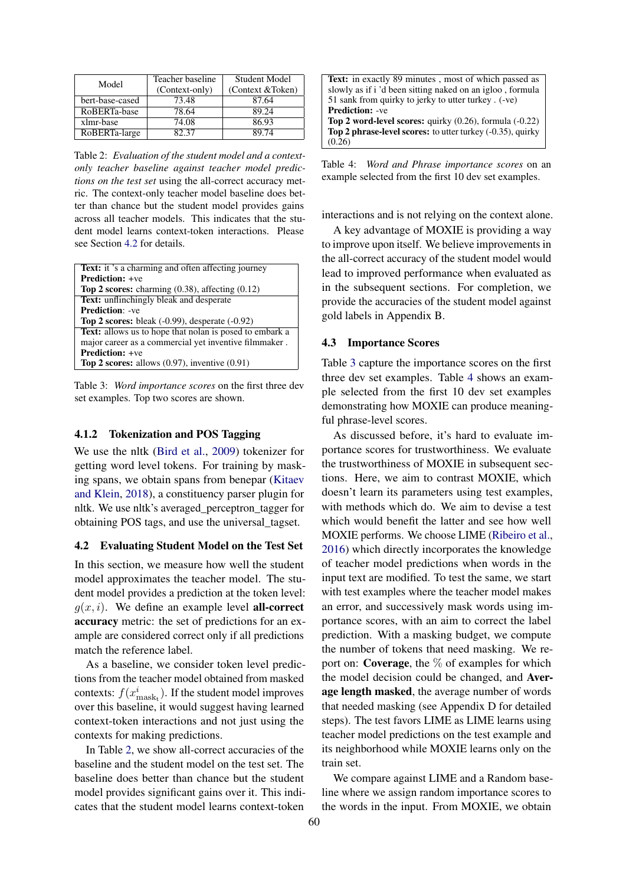<span id="page-5-3"></span>

| Model           | Teacher baseline<br>(Context-only) | <b>Student Model</b><br>(Context & Token) |
|-----------------|------------------------------------|-------------------------------------------|
| bert-base-cased | 73.48                              | 87.64                                     |
| RoBERTa-base    | 78.64                              | 89.24                                     |
| xlmr-base       | 74.08                              | 86.93                                     |
| RoBERTa-large   | 82.37                              | 89.74                                     |

Table 2: *Evaluation of the student model and a contextonly teacher baseline against teacher model predictions on the test set* using the all-correct accuracy metric. The context-only teacher model baseline does better than chance but the student model provides gains across all teacher models. This indicates that the student model learns context-token interactions. Please see Section [4.2](#page-5-1) for details.

<span id="page-5-4"></span>

| Text: it's a charming and often affecting journey           |
|-------------------------------------------------------------|
| <b>Prediction:</b> +ve                                      |
| <b>Top 2 scores:</b> charming $(0.38)$ , affecting $(0.12)$ |
| <b>Text:</b> unflinchingly bleak and desperate              |
| <b>Prediction: -ve</b>                                      |
| Top 2 scores: bleak $(-0.99)$ , desperate $(-0.92)$         |
| Text: allows us to hope that nolan is posed to embark a     |
| major career as a commercial yet inventive filmmaker.       |
| <b>Prediction:</b> +ve                                      |
| Top 2 scores: allows $(0.97)$ , inventive $(0.91)$          |

Table 3: *Word importance scores* on the first three dev set examples. Top two scores are shown.

#### <span id="page-5-2"></span>4.1.2 Tokenization and POS Tagging

We use the nltk [\(Bird et al.,](#page-8-6) [2009\)](#page-8-6) tokenizer for getting word level tokens. For training by masking spans, we obtain spans from benepar [\(Kitaev](#page-9-15) [and Klein,](#page-9-15) [2018\)](#page-9-15), a constituency parser plugin for nltk. We use nltk's averaged\_perceptron\_tagger for obtaining POS tags, and use the universal\_tagset.

#### <span id="page-5-1"></span>4.2 Evaluating Student Model on the Test Set

In this section, we measure how well the student model approximates the teacher model. The student model provides a prediction at the token level:  $q(x, i)$ . We define an example level **all-correct** accuracy metric: the set of predictions for an example are considered correct only if all predictions match the reference label.

As a baseline, we consider token level predictions from the teacher model obtained from masked contexts:  $f(x_{\text{mask}_{t}}^{i})$ . If the student model improves over this baseline, it would suggest having learned context-token interactions and not just using the contexts for making predictions.

In Table [2,](#page-5-3) we show all-correct accuracies of the baseline and the student model on the test set. The baseline does better than chance but the student model provides significant gains over it. This indicates that the student model learns context-token

<span id="page-5-5"></span>

| <b>Text:</b> in exactly 89 minutes, most of which passed as          |
|----------------------------------------------------------------------|
| slowly as if i 'd been sitting naked on an igloo, formula            |
| 51 sank from quirky to jerky to utter turkey. (-ve)                  |
| <b>Prediction: -ve</b>                                               |
| <b>Top 2 word-level scores:</b> quirky $(0.26)$ , formula $(-0.22)$  |
| <b>Top 2 phrase-level scores:</b> to utter turkey $(-0.35)$ , quirky |
| (0.26)                                                               |

Table 4: *Word and Phrase importance scores* on an example selected from the first 10 dev set examples.

interactions and is not relying on the context alone.

A key advantage of MOXIE is providing a way to improve upon itself. We believe improvements in the all-correct accuracy of the student model would lead to improved performance when evaluated as in the subsequent sections. For completion, we provide the accuracies of the student model against gold labels in Appendix B.

#### <span id="page-5-0"></span>4.3 Importance Scores

Table [3](#page-5-4) capture the importance scores on the first three dev set examples. Table [4](#page-5-5) shows an example selected from the first 10 dev set examples demonstrating how MOXIE can produce meaningful phrase-level scores.

As discussed before, it's hard to evaluate importance scores for trustworthiness. We evaluate the trustworthiness of MOXIE in subsequent sections. Here, we aim to contrast MOXIE, which doesn't learn its parameters using test examples, with methods which do. We aim to devise a test which would benefit the latter and see how well MOXIE performs. We choose LIME [\(Ribeiro et al.,](#page-9-6) [2016\)](#page-9-6) which directly incorporates the knowledge of teacher model predictions when words in the input text are modified. To test the same, we start with test examples where the teacher model makes an error, and successively mask words using importance scores, with an aim to correct the label prediction. With a masking budget, we compute the number of tokens that need masking. We report on: **Coverage**, the  $\%$  of examples for which the model decision could be changed, and Average length masked, the average number of words that needed masking (see Appendix D for detailed steps). The test favors LIME as LIME learns using teacher model predictions on the test example and its neighborhood while MOXIE learns only on the train set.

We compare against LIME and a Random baseline where we assign random importance scores to the words in the input. From MOXIE, we obtain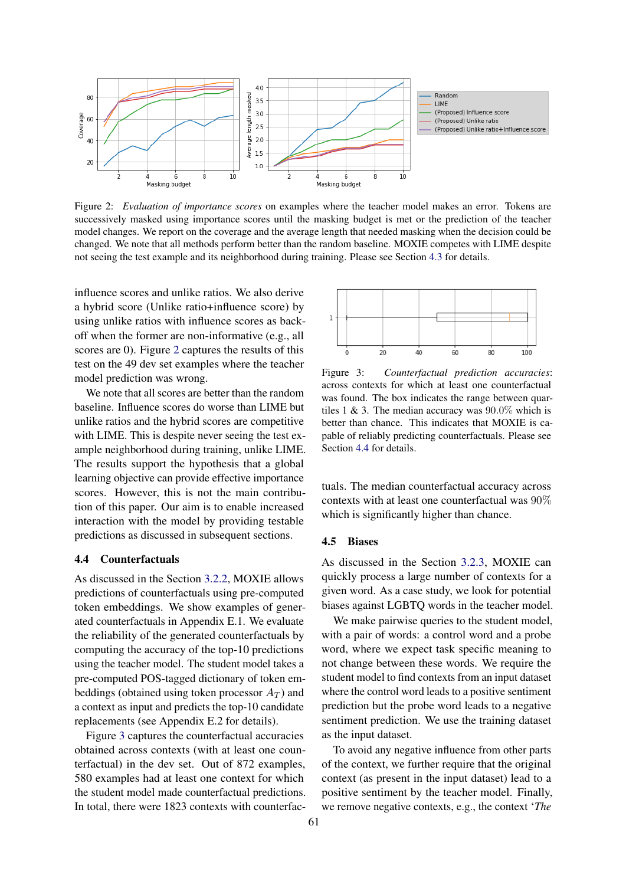<span id="page-6-2"></span>

Figure 2: *Evaluation of importance scores* on examples where the teacher model makes an error. Tokens are successively masked using importance scores until the masking budget is met or the prediction of the teacher model changes. We report on the coverage and the average length that needed masking when the decision could be changed. We note that all methods perform better than the random baseline. MOXIE competes with LIME despite not seeing the test example and its neighborhood during training. Please see Section [4.3](#page-5-0) for details.

influence scores and unlike ratios. We also derive a hybrid score (Unlike ratio+influence score) by using unlike ratios with influence scores as backoff when the former are non-informative (e.g., all scores are 0). Figure [2](#page-6-2) captures the results of this test on the 49 dev set examples where the teacher model prediction was wrong.

We note that all scores are better than the random baseline. Influence scores do worse than LIME but unlike ratios and the hybrid scores are competitive with LIME. This is despite never seeing the test example neighborhood during training, unlike LIME. The results support the hypothesis that a global learning objective can provide effective importance scores. However, this is not the main contribution of this paper. Our aim is to enable increased interaction with the model by providing testable predictions as discussed in subsequent sections.

#### <span id="page-6-0"></span>4.4 Counterfactuals

As discussed in the Section [3.2.2,](#page-4-2) MOXIE allows predictions of counterfactuals using pre-computed token embeddings. We show examples of generated counterfactuals in Appendix E.1. We evaluate the reliability of the generated counterfactuals by computing the accuracy of the top-10 predictions using the teacher model. The student model takes a pre-computed POS-tagged dictionary of token embeddings (obtained using token processor  $A_T$ ) and a context as input and predicts the top-10 candidate replacements (see Appendix E.2 for details).

Figure [3](#page-6-3) captures the counterfactual accuracies obtained across contexts (with at least one counterfactual) in the dev set. Out of 872 examples, 580 examples had at least one context for which the student model made counterfactual predictions. In total, there were 1823 contexts with counterfac-

<span id="page-6-3"></span>

Figure 3: *Counterfactual prediction accuracies*: across contexts for which at least one counterfactual was found. The box indicates the range between quartiles 1 & 3. The median accuracy was  $90.0\%$  which is better than chance. This indicates that MOXIE is capable of reliably predicting counterfactuals. Please see Section [4.4](#page-6-0) for details.

tuals. The median counterfactual accuracy across contexts with at least one counterfactual was 90% which is significantly higher than chance.

#### <span id="page-6-1"></span>4.5 Biases

As discussed in the Section [3.2.3,](#page-4-3) MOXIE can quickly process a large number of contexts for a given word. As a case study, we look for potential biases against LGBTQ words in the teacher model.

We make pairwise queries to the student model, with a pair of words: a control word and a probe word, where we expect task specific meaning to not change between these words. We require the student model to find contexts from an input dataset where the control word leads to a positive sentiment prediction but the probe word leads to a negative sentiment prediction. We use the training dataset as the input dataset.

To avoid any negative influence from other parts of the context, we further require that the original context (as present in the input dataset) lead to a positive sentiment by the teacher model. Finally, we remove negative contexts, e.g., the context '*The*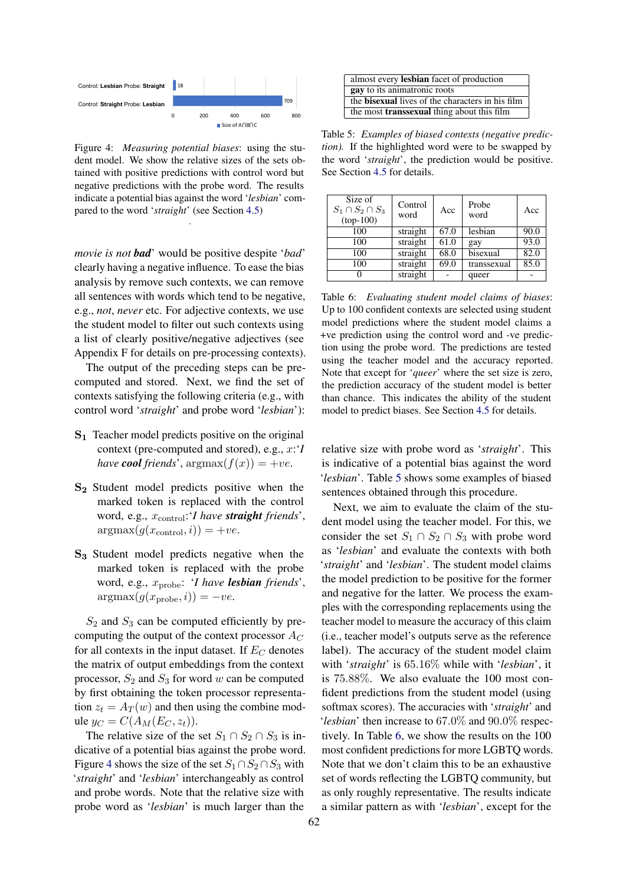<span id="page-7-0"></span>

Figure 4: *Measuring potential biases*: using the student model. We show the relative sizes of the sets obtained with positive predictions with control word but negative predictions with the probe word. The results indicate a potential bias against the word '*lesbian*' compared to the word '*straight*' (see Section [4.5\)](#page-6-1) .

*movie is not bad*' would be positive despite '*bad*' clearly having a negative influence. To ease the bias analysis by remove such contexts, we can remove all sentences with words which tend to be negative, e.g., *not*, *never* etc. For adjective contexts, we use the student model to filter out such contexts using a list of clearly positive/negative adjectives (see Appendix F for details on pre-processing contexts).

The output of the preceding steps can be precomputed and stored. Next, we find the set of contexts satisfying the following criteria (e.g., with control word '*straight*' and probe word '*lesbian*'):

- S<sup>1</sup> Teacher model predicts positive on the original context (pre-computed and stored), e.g., x:'*I have cool friends'*,  $argmax(f(x)) = +ve$ .
- S<sup>2</sup> Student model predicts positive when the marked token is replaced with the control word, e.g., xcontrol:'*I have straight friends*',  $argmax(g(x_{control}, i)) = +ve.$
- S<sup>3</sup> Student model predicts negative when the marked token is replaced with the probe word, e.g., xprobe: '*I have lesbian friends*',  $argmax(g(x_{\text{probe}}, i)) = -ve.$

 $S_2$  and  $S_3$  can be computed efficiently by precomputing the output of the context processor  $A_C$ for all contexts in the input dataset. If  $E_C$  denotes the matrix of output embeddings from the context processor,  $S_2$  and  $S_3$  for word w can be computed by first obtaining the token processor representation  $z_t = A_T(w)$  and then using the combine module  $y_C = C(A_M(E_C, z_t)).$ 

The relative size of the set  $S_1 \cap S_2 \cap S_3$  is indicative of a potential bias against the probe word. Figure [4](#page-7-0) shows the size of the set  $S_1 \cap S_2 \cap S_3$  with '*straight*' and '*lesbian*' interchangeably as control and probe words. Note that the relative size with probe word as '*lesbian*' is much larger than the

<span id="page-7-1"></span>

| almost every lesbian facet of production                |  |
|---------------------------------------------------------|--|
| gay to its animatronic roots                            |  |
| the <b>bisexual</b> lives of the characters in his film |  |
| the most <b>transsexual</b> thing about this film       |  |

Table 5: *Examples of biased contexts (negative prediction).* If the highlighted word were to be swapped by the word '*straight*', the prediction would be positive. See Section [4.5](#page-6-1) for details.

<span id="page-7-2"></span>

| Size of<br>$S_1 \cap S_2 \cap S_3$<br>$(top-100)$ | Control<br>word | Acc  | Probe<br>word | Acc  |
|---------------------------------------------------|-----------------|------|---------------|------|
| 100                                               | straight        | 67.0 | lesbian       | 90.0 |
| 100                                               | straight        | 61.0 | gay           | 93.0 |
| 100                                               | straight        | 68.0 | bisexual      | 82.0 |
| 100                                               | straight        | 69.0 | transsexual   | 85.0 |
|                                                   | straight        |      | queer         |      |

Table 6: *Evaluating student model claims of biases*: Up to 100 confident contexts are selected using student model predictions where the student model claims a +ve prediction using the control word and -ve prediction using the probe word. The predictions are tested using the teacher model and the accuracy reported. Note that except for '*queer*' where the set size is zero, the prediction accuracy of the student model is better than chance. This indicates the ability of the student model to predict biases. See Section [4.5](#page-6-1) for details.

relative size with probe word as '*straight*'. This is indicative of a potential bias against the word '*lesbian*'. Table [5](#page-7-1) shows some examples of biased sentences obtained through this procedure.

Next, we aim to evaluate the claim of the student model using the teacher model. For this, we consider the set  $S_1 \cap S_2 \cap S_3$  with probe word as '*lesbian*' and evaluate the contexts with both '*straight*' and '*lesbian*'. The student model claims the model prediction to be positive for the former and negative for the latter. We process the examples with the corresponding replacements using the teacher model to measure the accuracy of this claim (i.e., teacher model's outputs serve as the reference label). The accuracy of the student model claim with '*straight*' is 65.16% while with '*lesbian*', it is 75.88%. We also evaluate the 100 most confident predictions from the student model (using softmax scores). The accuracies with '*straight*' and '*lesbian*' then increase to 67.0% and 90.0% respectively. In Table [6,](#page-7-2) we show the results on the 100 most confident predictions for more LGBTQ words. Note that we don't claim this to be an exhaustive set of words reflecting the LGBTQ community, but as only roughly representative. The results indicate a similar pattern as with '*lesbian*', except for the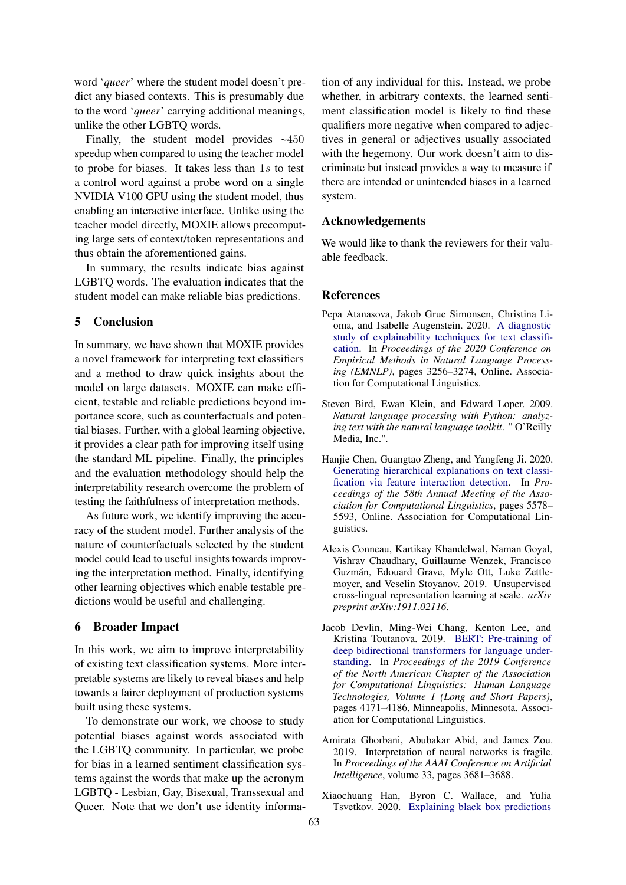word '*queer*' where the student model doesn't predict any biased contexts. This is presumably due to the word '*queer*' carrying additional meanings, unlike the other LGBTQ words.

Finally, the student model provides ~450 speedup when compared to using the teacher model to probe for biases. It takes less than 1s to test a control word against a probe word on a single NVIDIA V100 GPU using the student model, thus enabling an interactive interface. Unlike using the teacher model directly, MOXIE allows precomputing large sets of context/token representations and thus obtain the aforementioned gains.

In summary, the results indicate bias against LGBTQ words. The evaluation indicates that the student model can make reliable bias predictions.

### 5 Conclusion

In summary, we have shown that MOXIE provides a novel framework for interpreting text classifiers and a method to draw quick insights about the model on large datasets. MOXIE can make efficient, testable and reliable predictions beyond importance score, such as counterfactuals and potential biases. Further, with a global learning objective, it provides a clear path for improving itself using the standard ML pipeline. Finally, the principles and the evaluation methodology should help the interpretability research overcome the problem of testing the faithfulness of interpretation methods.

As future work, we identify improving the accuracy of the student model. Further analysis of the nature of counterfactuals selected by the student model could lead to useful insights towards improving the interpretation method. Finally, identifying other learning objectives which enable testable predictions would be useful and challenging.

### 6 Broader Impact

In this work, we aim to improve interpretability of existing text classification systems. More interpretable systems are likely to reveal biases and help towards a fairer deployment of production systems built using these systems.

To demonstrate our work, we choose to study potential biases against words associated with the LGBTQ community. In particular, we probe for bias in a learned sentiment classification systems against the words that make up the acronym LGBTQ - Lesbian, Gay, Bisexual, Transsexual and Queer. Note that we don't use identity information of any individual for this. Instead, we probe whether, in arbitrary contexts, the learned sentiment classification model is likely to find these qualifiers more negative when compared to adjectives in general or adjectives usually associated with the hegemony. Our work doesn't aim to discriminate but instead provides a way to measure if there are intended or unintended biases in a learned system.

### Acknowledgements

We would like to thank the reviewers for their valuable feedback.

#### References

- <span id="page-8-2"></span>Pepa Atanasova, Jakob Grue Simonsen, Christina Lioma, and Isabelle Augenstein. 2020. [A diagnostic](https://doi.org/10.18653/v1/2020.emnlp-main.263) [study of explainability techniques for text classifi](https://doi.org/10.18653/v1/2020.emnlp-main.263)[cation.](https://doi.org/10.18653/v1/2020.emnlp-main.263) In *Proceedings of the 2020 Conference on Empirical Methods in Natural Language Processing (EMNLP)*, pages 3256–3274, Online. Association for Computational Linguistics.
- <span id="page-8-6"></span>Steven Bird, Ewan Klein, and Edward Loper. 2009. *Natural language processing with Python: analyzing text with the natural language toolkit*. " O'Reilly Media, Inc.".
- <span id="page-8-3"></span>Hanjie Chen, Guangtao Zheng, and Yangfeng Ji. 2020. [Generating hierarchical explanations on text classi](https://doi.org/10.18653/v1/2020.acl-main.494)[fication via feature interaction detection.](https://doi.org/10.18653/v1/2020.acl-main.494) In *Proceedings of the 58th Annual Meeting of the Association for Computational Linguistics*, pages 5578– 5593, Online. Association for Computational Linguistics.
- <span id="page-8-5"></span>Alexis Conneau, Kartikay Khandelwal, Naman Goyal, Vishrav Chaudhary, Guillaume Wenzek, Francisco Guzmán, Edouard Grave, Myle Ott, Luke Zettlemoyer, and Veselin Stoyanov. 2019. Unsupervised cross-lingual representation learning at scale. *arXiv preprint arXiv:1911.02116*.
- <span id="page-8-0"></span>Jacob Devlin, Ming-Wei Chang, Kenton Lee, and Kristina Toutanova. 2019. [BERT: Pre-training of](https://doi.org/10.18653/v1/N19-1423) [deep bidirectional transformers for language under](https://doi.org/10.18653/v1/N19-1423)[standing.](https://doi.org/10.18653/v1/N19-1423) In *Proceedings of the 2019 Conference of the North American Chapter of the Association for Computational Linguistics: Human Language Technologies, Volume 1 (Long and Short Papers)*, pages 4171–4186, Minneapolis, Minnesota. Association for Computational Linguistics.
- <span id="page-8-1"></span>Amirata Ghorbani, Abubakar Abid, and James Zou. 2019. Interpretation of neural networks is fragile. In *Proceedings of the AAAI Conference on Artificial Intelligence*, volume 33, pages 3681–3688.
- <span id="page-8-4"></span>Xiaochuang Han, Byron C. Wallace, and Yulia Tsvetkov. 2020. [Explaining black box predictions](https://doi.org/10.18653/v1/2020.acl-main.492)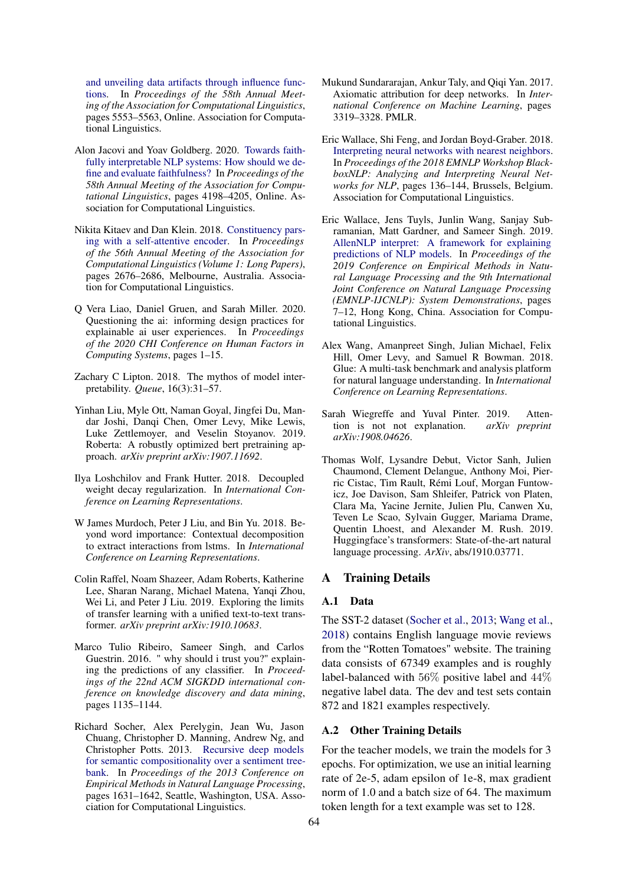[and unveiling data artifacts through influence func](https://doi.org/10.18653/v1/2020.acl-main.492)[tions.](https://doi.org/10.18653/v1/2020.acl-main.492) In *Proceedings of the 58th Annual Meeting of the Association for Computational Linguistics*, pages 5553–5563, Online. Association for Computational Linguistics.

- <span id="page-9-3"></span>Alon Jacovi and Yoav Goldberg. 2020. [Towards faith](https://doi.org/10.18653/v1/2020.acl-main.386)[fully interpretable NLP systems: How should we de](https://doi.org/10.18653/v1/2020.acl-main.386)[fine and evaluate faithfulness?](https://doi.org/10.18653/v1/2020.acl-main.386) In *Proceedings of the 58th Annual Meeting of the Association for Computational Linguistics*, pages 4198–4205, Online. Association for Computational Linguistics.
- <span id="page-9-15"></span>Nikita Kitaev and Dan Klein. 2018. [Constituency pars](https://doi.org/10.18653/v1/P18-1249)[ing with a self-attentive encoder.](https://doi.org/10.18653/v1/P18-1249) In *Proceedings of the 56th Annual Meeting of the Association for Computational Linguistics (Volume 1: Long Papers)*, pages 2676–2686, Melbourne, Australia. Association for Computational Linguistics.
- <span id="page-9-8"></span>Q Vera Liao, Daniel Gruen, and Sarah Miller. 2020. Questioning the ai: informing design practices for explainable ai user experiences. In *Proceedings of the 2020 CHI Conference on Human Factors in Computing Systems*, pages 1–15.
- <span id="page-9-0"></span>Zachary C Lipton. 2018. The mythos of model interpretability. *Queue*, 16(3):31–57.
- <span id="page-9-1"></span>Yinhan Liu, Myle Ott, Naman Goyal, Jingfei Du, Mandar Joshi, Danqi Chen, Omer Levy, Mike Lewis, Luke Zettlemoyer, and Veselin Stoyanov. 2019. Roberta: A robustly optimized bert pretraining approach. *arXiv preprint arXiv:1907.11692*.
- <span id="page-9-14"></span>Ilya Loshchilov and Frank Hutter. 2018. Decoupled weight decay regularization. In *International Conference on Learning Representations*.
- <span id="page-9-10"></span>W James Murdoch, Peter J Liu, and Bin Yu. 2018. Beyond word importance: Contextual decomposition to extract interactions from lstms. In *International Conference on Learning Representations*.
- <span id="page-9-2"></span>Colin Raffel, Noam Shazeer, Adam Roberts, Katherine Lee, Sharan Narang, Michael Matena, Yanqi Zhou, Wei Li, and Peter J Liu. 2019. Exploring the limits of transfer learning with a unified text-to-text transformer. *arXiv preprint arXiv:1910.10683*.
- <span id="page-9-6"></span>Marco Tulio Ribeiro, Sameer Singh, and Carlos Guestrin. 2016. " why should i trust you?" explaining the predictions of any classifier. In *Proceedings of the 22nd ACM SIGKDD international conference on knowledge discovery and data mining*, pages 1135–1144.
- <span id="page-9-11"></span>Richard Socher, Alex Perelygin, Jean Wu, Jason Chuang, Christopher D. Manning, Andrew Ng, and Christopher Potts. 2013. [Recursive deep models](https://www.aclweb.org/anthology/D13-1170) [for semantic compositionality over a sentiment tree](https://www.aclweb.org/anthology/D13-1170)[bank.](https://www.aclweb.org/anthology/D13-1170) In *Proceedings of the 2013 Conference on Empirical Methods in Natural Language Processing*, pages 1631–1642, Seattle, Washington, USA. Association for Computational Linguistics.
- <span id="page-9-7"></span>Mukund Sundararajan, Ankur Taly, and Qiqi Yan. 2017. Axiomatic attribution for deep networks. In *International Conference on Machine Learning*, pages 3319–3328. PMLR.
- <span id="page-9-9"></span>Eric Wallace, Shi Feng, and Jordan Boyd-Graber. 2018. [Interpreting neural networks with nearest neighbors.](https://doi.org/10.18653/v1/W18-5416) In *Proceedings of the 2018 EMNLP Workshop BlackboxNLP: Analyzing and Interpreting Neural Networks for NLP*, pages 136–144, Brussels, Belgium. Association for Computational Linguistics.
- <span id="page-9-4"></span>Eric Wallace, Jens Tuyls, Junlin Wang, Sanjay Subramanian, Matt Gardner, and Sameer Singh. 2019. [AllenNLP interpret: A framework for explaining](https://doi.org/10.18653/v1/D19-3002) [predictions of NLP models.](https://doi.org/10.18653/v1/D19-3002) In *Proceedings of the 2019 Conference on Empirical Methods in Natural Language Processing and the 9th International Joint Conference on Natural Language Processing (EMNLP-IJCNLP): System Demonstrations*, pages 7–12, Hong Kong, China. Association for Computational Linguistics.
- <span id="page-9-12"></span>Alex Wang, Amanpreet Singh, Julian Michael, Felix Hill, Omer Levy, and Samuel R Bowman. 2018. Glue: A multi-task benchmark and analysis platform for natural language understanding. In *International Conference on Learning Representations*.
- <span id="page-9-5"></span>Sarah Wiegreffe and Yuval Pinter. 2019. Attention is not not explanation. *arXiv preprint arXiv:1908.04626*.
- <span id="page-9-13"></span>Thomas Wolf, Lysandre Debut, Victor Sanh, Julien Chaumond, Clement Delangue, Anthony Moi, Pierric Cistac, Tim Rault, Rémi Louf, Morgan Funtowicz, Joe Davison, Sam Shleifer, Patrick von Platen, Clara Ma, Yacine Jernite, Julien Plu, Canwen Xu, Teven Le Scao, Sylvain Gugger, Mariama Drame, Quentin Lhoest, and Alexander M. Rush. 2019. Huggingface's transformers: State-of-the-art natural language processing. *ArXiv*, abs/1910.03771.

#### A Training Details

#### A.1 Data

The SST-2 dataset [\(Socher et al.,](#page-9-11) [2013;](#page-9-11) [Wang et al.,](#page-9-12) [2018\)](#page-9-12) contains English language movie reviews from the "Rotten Tomatoes" website. The training data consists of 67349 examples and is roughly label-balanced with 56% positive label and 44% negative label data. The dev and test sets contain 872 and 1821 examples respectively.

#### A.2 Other Training Details

For the teacher models, we train the models for 3 epochs. For optimization, we use an initial learning rate of 2e-5, adam epsilon of 1e-8, max gradient norm of 1.0 and a batch size of 64. The maximum token length for a text example was set to 128.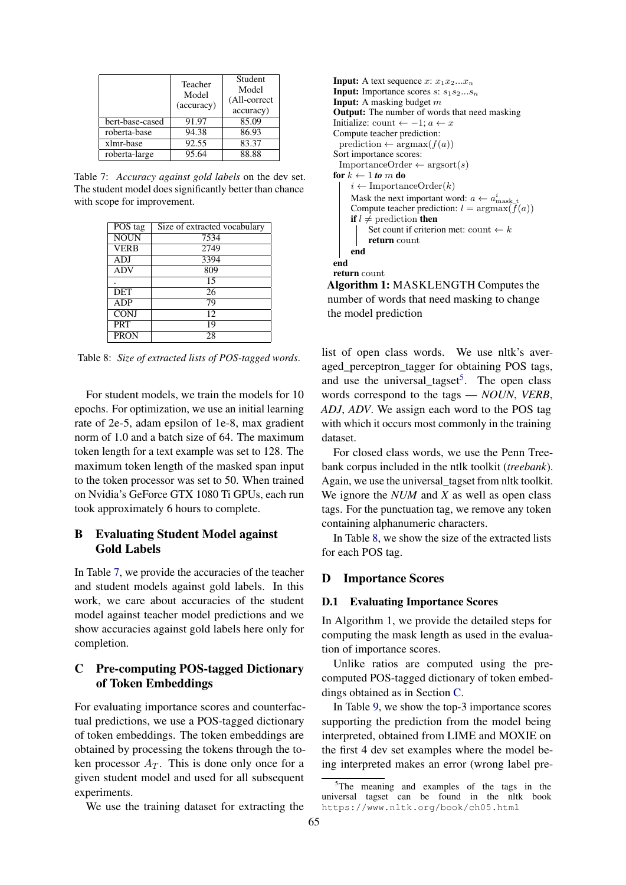<span id="page-10-0"></span>

|                 | Teacher<br>Model<br>(accuracy) | Student<br>Model<br>(All-correct<br>accuracy) |
|-----------------|--------------------------------|-----------------------------------------------|
| bert-base-cased | 91.97                          | 85.09                                         |
| roberta-base    | 94.38                          | 86.93                                         |
| xlmr-base       | 92.55                          | 83.37                                         |
| roberta-large   | 95.64                          | 88.88                                         |

Table 7: *Accuracy against gold labels* on the dev set. The student model does significantly better than chance with scope for improvement.

<span id="page-10-2"></span>

| POS tag     | Size of extracted vocabulary |
|-------------|------------------------------|
| <b>NOUN</b> | 7534                         |
| <b>VERB</b> | 2749                         |
| ADJ         | 3394                         |
| <b>ADV</b>  | 809                          |
|             | 15                           |
| DET         | 26                           |
| ADP         | 79                           |
| <b>CONJ</b> | 12                           |
| <b>PRT</b>  | 19                           |
| <b>PRON</b> | 28                           |

Table 8: *Size of extracted lists of POS-tagged words*.

For student models, we train the models for 10 epochs. For optimization, we use an initial learning rate of 2e-5, adam epsilon of 1e-8, max gradient norm of 1.0 and a batch size of 64. The maximum token length for a text example was set to 128. The maximum token length of the masked span input to the token processor was set to 50. When trained on Nvidia's GeForce GTX 1080 Ti GPUs, each run took approximately 6 hours to complete.

# B Evaluating Student Model against Gold Labels

In Table [7,](#page-10-0) we provide the accuracies of the teacher and student models against gold labels. In this work, we care about accuracies of the student model against teacher model predictions and we show accuracies against gold labels here only for completion.

# <span id="page-10-4"></span>C Pre-computing POS-tagged Dictionary of Token Embeddings

For evaluating importance scores and counterfactual predictions, we use a POS-tagged dictionary of token embeddings. The token embeddings are obtained by processing the tokens through the token processor  $A_T$ . This is done only once for a given student model and used for all subsequent experiments.

We use the training dataset for extracting the

```
Input: A text sequence x: x_1x_2...x_nInput: Importance scores s: s_1 s_2...s_nInput: A masking budget mOutput: The number of words that need masking
 Initialize: count ← -1; a \leftarrow xCompute teacher prediction:
  prediction \leftarrow argmax(f(a))Sort importance scores:
  ImportanceOrder \leftarrow argsort(s)
 for k \leftarrow 1 to m do
     i \leftarrow \text{ImportanceOrder}(k)Mask the next important word: a \leftarrow a_{\text{mask}\_t}^iCompute teacher prediction: l = \argmax(f(a))if l \neq prediction then
          Set count if criterion met: count \leftarrow kreturn count
      end
 end
 return count
Algorithm 1: MASKLENGTH Computes the
number of words that need masking to change
the model prediction
```
<span id="page-10-3"></span>list of open class words. We use nltk's averaged\_perceptron\_tagger for obtaining POS tags, and use the universal\_tagset<sup>[5](#page-10-1)</sup>. The open class words correspond to the tags — *NOUN*, *VERB*, *ADJ*, *ADV*. We assign each word to the POS tag with which it occurs most commonly in the training dataset.

For closed class words, we use the Penn Treebank corpus included in the ntlk toolkit (*treebank*). Again, we use the universal\_tagset from nltk toolkit. We ignore the *NUM* and *X* as well as open class tags. For the punctuation tag, we remove any token containing alphanumeric characters.

In Table [8,](#page-10-2) we show the size of the extracted lists for each POS tag.

### D Importance Scores

#### D.1 Evaluating Importance Scores

In Algorithm [1,](#page-10-3) we provide the detailed steps for computing the mask length as used in the evaluation of importance scores.

Unlike ratios are computed using the precomputed POS-tagged dictionary of token embeddings obtained as in Section [C.](#page-10-4)

In Table [9,](#page-11-0) we show the top-3 importance scores supporting the prediction from the model being interpreted, obtained from LIME and MOXIE on the first 4 dev set examples where the model being interpreted makes an error (wrong label pre-

<span id="page-10-1"></span><sup>&</sup>lt;sup>5</sup>The meaning and examples of the tags in the universal tagset can be found in the nltk book https://www.nltk.org/book/ch05.html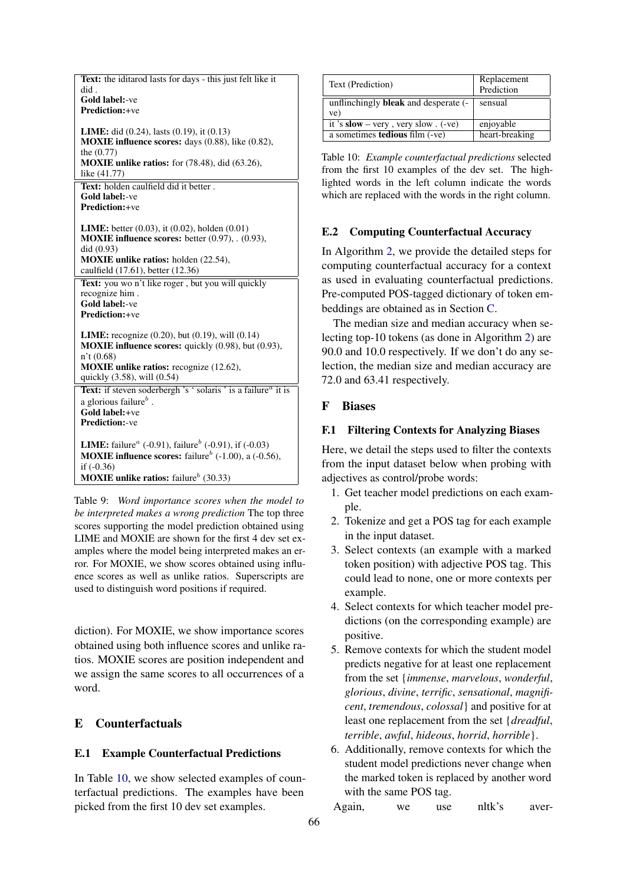<span id="page-11-0"></span>

| did.<br>Gold label:-ve<br><b>Prediction:+ve</b><br><b>LIME</b> : did $(0.24)$ , lasts $(0.19)$ , it $(0.13)$<br><b>MOXIE</b> influence scores: days $(0.88)$ , like $(0.82)$ ,<br>the $(0.77)$<br><b>MOXIE</b> unlike ratios: for (78.48), did (63.26),<br>like (41.77)<br>Text: holden caulfield did it better. |
|------------------------------------------------------------------------------------------------------------------------------------------------------------------------------------------------------------------------------------------------------------------------------------------------------------------|
|                                                                                                                                                                                                                                                                                                                  |
|                                                                                                                                                                                                                                                                                                                  |
|                                                                                                                                                                                                                                                                                                                  |
|                                                                                                                                                                                                                                                                                                                  |
|                                                                                                                                                                                                                                                                                                                  |
|                                                                                                                                                                                                                                                                                                                  |
|                                                                                                                                                                                                                                                                                                                  |
|                                                                                                                                                                                                                                                                                                                  |
|                                                                                                                                                                                                                                                                                                                  |
| <b>Gold label:-ve</b>                                                                                                                                                                                                                                                                                            |
| <b>Prediction:+ve</b>                                                                                                                                                                                                                                                                                            |
|                                                                                                                                                                                                                                                                                                                  |
| <b>LIME:</b> better $(0.03)$ , it $(0.02)$ , holden $(0.01)$                                                                                                                                                                                                                                                     |
| <b>MOXIE influence scores:</b> better $(0.97)$ , $(0.93)$ ,                                                                                                                                                                                                                                                      |
| did (0.93)                                                                                                                                                                                                                                                                                                       |
| <b>MOXIE</b> unlike ratios: holden (22.54),                                                                                                                                                                                                                                                                      |
| caulfield (17.61), better (12.36)                                                                                                                                                                                                                                                                                |
| Text: you wo n't like roger, but you will quickly                                                                                                                                                                                                                                                                |
| recognize him.                                                                                                                                                                                                                                                                                                   |
| Gold label:-ve<br><b>Prediction:+ve</b>                                                                                                                                                                                                                                                                          |
|                                                                                                                                                                                                                                                                                                                  |
| <b>LIME:</b> recognize $(0.20)$ , but $(0.19)$ , will $(0.14)$                                                                                                                                                                                                                                                   |
| <b>MOXIE influence scores:</b> quickly (0.98), but (0.93),                                                                                                                                                                                                                                                       |
| n't(0.68)                                                                                                                                                                                                                                                                                                        |
| <b>MOXIE</b> unlike ratios: recognize (12.62),                                                                                                                                                                                                                                                                   |
| quickly (3.58), will (0.54)                                                                                                                                                                                                                                                                                      |
| Text: if steven soderbergh 's ' solaris ' is a failure <sup><i>a</i></sup> it is                                                                                                                                                                                                                                 |
| a glorious failure $^b$ .                                                                                                                                                                                                                                                                                        |
| Gold label:+ve                                                                                                                                                                                                                                                                                                   |
| <b>Prediction:-ve</b>                                                                                                                                                                                                                                                                                            |
|                                                                                                                                                                                                                                                                                                                  |
| <b>LIME:</b> failure <sup><i>a</i></sup> (-0.91), failure <sup><i>b</i></sup> (-0.91), if (-0.03)                                                                                                                                                                                                                |
| <b>MOXIE influence scores:</b> failure <sup>b</sup> (-1.00), a (-0.56),                                                                                                                                                                                                                                          |
| if $(-0.36)$                                                                                                                                                                                                                                                                                                     |
| <b>MOXIE</b> unlike ratios: failure <sup>b</sup> (30.33)                                                                                                                                                                                                                                                         |

Table 9: *Word importance scores when the model to be interpreted makes a wrong prediction* The top three scores supporting the model prediction obtained using LIME and MOXIE are shown for the first 4 dev set examples where the model being interpreted makes an error. For MOXIE, we show scores obtained using influence scores as well as unlike ratios. Superscripts are used to distinguish word positions if required.

diction). For MOXIE, we show importance scores obtained using both influence scores and unlike ratios. MOXIE scores are position independent and we assign the same scores to all occurrences of a word.

# E Counterfactuals

### E.1 Example Counterfactual Predictions

In Table [10,](#page-11-1) we show selected examples of counterfactual predictions. The examples have been picked from the first 10 dev set examples.

<span id="page-11-1"></span>

| Text (Prediction)                           | Replacement    |  |
|---------------------------------------------|----------------|--|
|                                             | Prediction     |  |
| unflinchingly <b>bleak</b> and desperate (- | sensual        |  |
| ve)                                         |                |  |
| it 's $slow - very$ , very slow. $(-ve)$    | enjoyable      |  |
| a sometimes <b>tedious</b> film (-ve)       | heart-breaking |  |
|                                             |                |  |

Table 10: *Example counterfactual predictions* selected from the first 10 examples of the dev set. The highlighted words in the left column indicate the words which are replaced with the words in the right column.

# E.2 Computing Counterfactual Accuracy

In Algorithm [2,](#page-12-0) we provide the detailed steps for computing counterfactual accuracy for a context as used in evaluating counterfactual predictions. Pre-computed POS-tagged dictionary of token embeddings are obtained as in Section [C.](#page-10-4)

The median size and median accuracy when selecting top-10 tokens (as done in Algorithm [2\)](#page-12-0) are 90.0 and 10.0 respectively. If we don't do any selection, the median size and median accuracy are 72.0 and 63.41 respectively.

## F Biases

## F.1 Filtering Contexts for Analyzing Biases

Here, we detail the steps used to filter the contexts from the input dataset below when probing with adjectives as control/probe words:

- 1. Get teacher model predictions on each example.
- 2. Tokenize and get a POS tag for each example in the input dataset.
- 3. Select contexts (an example with a marked token position) with adjective POS tag. This could lead to none, one or more contexts per example.
- 4. Select contexts for which teacher model predictions (on the corresponding example) are positive.
- 5. Remove contexts for which the student model predicts negative for at least one replacement from the set {*immense*, *marvelous*, *wonderful*, *glorious*, *divine*, *terrific*, *sensational*, *magnificent*, *tremendous*, *colossal*} and positive for at least one replacement from the set {*dreadful*, *terrible*, *awful*, *hideous*, *horrid*, *horrible*}.
- 6. Additionally, remove contexts for which the student model predictions never change when the marked token is replaced by another word with the same POS tag.

Again, we use nltk's aver-